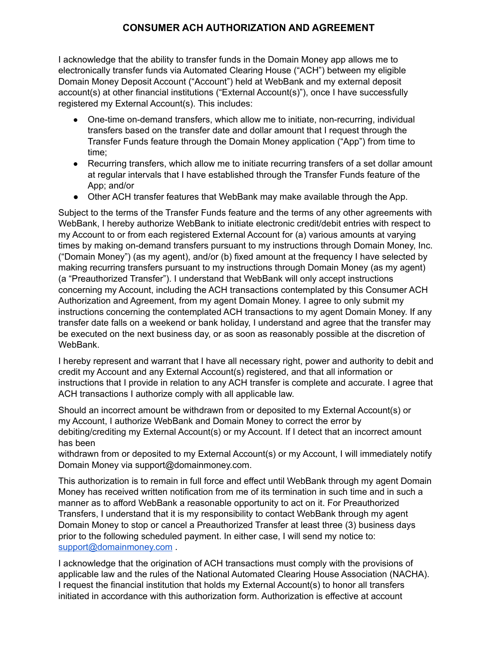## **CONSUMER ACH AUTHORIZATION AND AGREEMENT**

I acknowledge that the ability to transfer funds in the Domain Money app allows me to electronically transfer funds via Automated Clearing House ("ACH") between my eligible Domain Money Deposit Account ("Account") held at WebBank and my external deposit account(s) at other financial institutions ("External Account(s)"), once I have successfully registered my External Account(s). This includes:

- One-time on-demand transfers, which allow me to initiate, non-recurring, individual transfers based on the transfer date and dollar amount that I request through the Transfer Funds feature through the Domain Money application ("App") from time to time;
- Recurring transfers, which allow me to initiate recurring transfers of a set dollar amount at regular intervals that I have established through the Transfer Funds feature of the App; and/or
- Other ACH transfer features that WebBank may make available through the App.

Subject to the terms of the Transfer Funds feature and the terms of any other agreements with WebBank, I hereby authorize WebBank to initiate electronic credit/debit entries with respect to my Account to or from each registered External Account for (a) various amounts at varying times by making on-demand transfers pursuant to my instructions through Domain Money, Inc. ("Domain Money") (as my agent), and/or (b) fixed amount at the frequency I have selected by making recurring transfers pursuant to my instructions through Domain Money (as my agent) (a "Preauthorized Transfer"). I understand that WebBank will only accept instructions concerning my Account, including the ACH transactions contemplated by this Consumer ACH Authorization and Agreement, from my agent Domain Money. I agree to only submit my instructions concerning the contemplated ACH transactions to my agent Domain Money. If any transfer date falls on a weekend or bank holiday, I understand and agree that the transfer may be executed on the next business day, or as soon as reasonably possible at the discretion of WebBank.

I hereby represent and warrant that I have all necessary right, power and authority to debit and credit my Account and any External Account(s) registered, and that all information or instructions that I provide in relation to any ACH transfer is complete and accurate. I agree that ACH transactions I authorize comply with all applicable law.

Should an incorrect amount be withdrawn from or deposited to my External Account(s) or my Account, I authorize WebBank and Domain Money to correct the error by debiting/crediting my External Account(s) or my Account. If I detect that an incorrect amount has been

withdrawn from or deposited to my External Account(s) or my Account, I will immediately notify Domain Money via support@domainmoney.com.

This authorization is to remain in full force and effect until WebBank through my agent Domain Money has received written notification from me of its termination in such time and in such a manner as to afford WebBank a reasonable opportunity to act on it. For Preauthorized Transfers, I understand that it is my responsibility to contact WebBank through my agent Domain Money to stop or cancel a Preauthorized Transfer at least three (3) business days prior to the following scheduled payment. In either case, I will send my notice to: support@domainmoney.com .

I acknowledge that the origination of ACH transactions must comply with the provisions of applicable law and the rules of the National Automated Clearing House Association (NACHA). I request the financial institution that holds my External Account(s) to honor all transfers initiated in accordance with this authorization form. Authorization is effective at account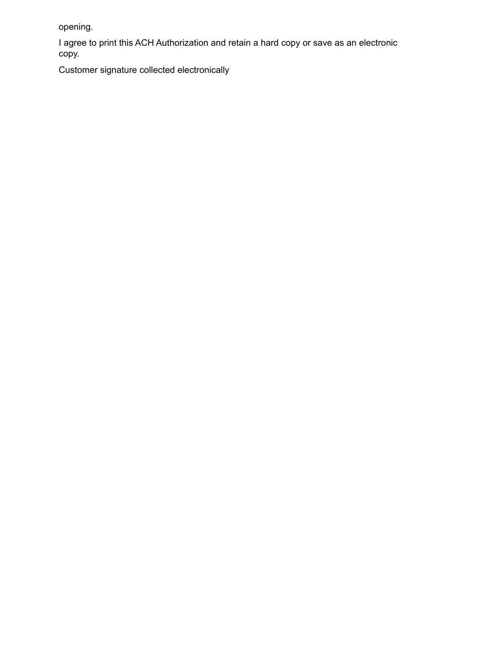opening.

I agree to print this ACH Authorization and retain a hard copy or save as an electronic copy.

Customer signature collected electronically